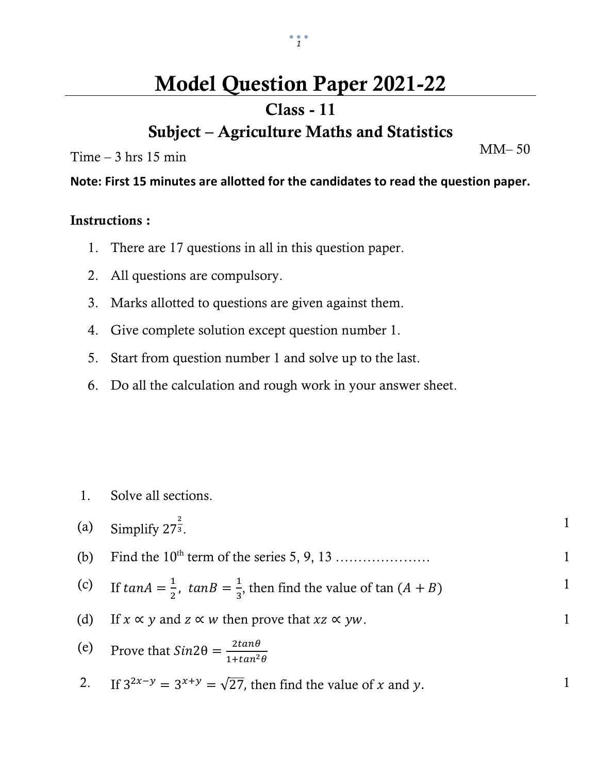# **Model Question Paper 2021-22**

### **Class - 11**

### **Subject – Agriculture Maths and Statistics**

 $Time - 3 hrs 15 min$ 

**Note: First 15 minutes are allotted for the candidates to read the question paper.**

#### **Instructions :**

- 1. There are 17 questions in all in this question paper.
- 2. All questions are compulsory.
- 3. Marks allotted to questions are given against them.
- 4. Give complete solution except question number 1.
- 5. Start from question number 1 and solve up to the last.
- 6. Do all the calculation and rough work in your answer sheet.

1. Solve all sections.

|     | (a) Simplify $27^{\frac{2}{3}}$ .                                                           |              |
|-----|---------------------------------------------------------------------------------------------|--------------|
| (b) |                                                                                             | $\mathbf{1}$ |
|     | (c) If $tan A = \frac{1}{2}$ , $tan B = \frac{1}{3}$ , then find the value of $tan (A + B)$ | $\mathbf{1}$ |
|     | (d) If $x \propto y$ and $z \propto w$ then prove that $xz \propto yw$ .                    | 1            |
|     | (e) Prove that $Sin2\theta = \frac{2tan\theta}{1 + tan^2\theta}$                            |              |
|     | 2. If $3^{2x-y} = 3^{x+y} = \sqrt{27}$ , then find the value of x and y.                    |              |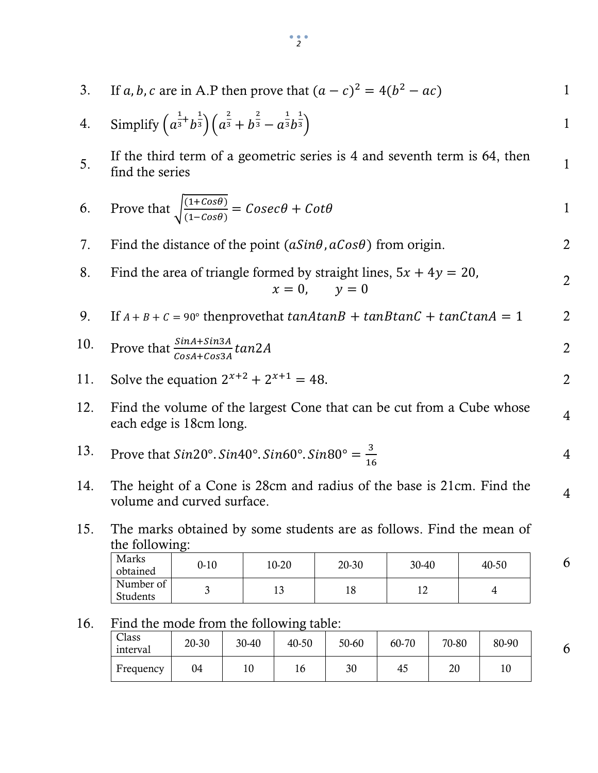- 3. If *a*, *b*, *c* are in A.P then prove that  $(a c)^2 = 4(b^2 ac)$  1 4. Simplify  $\left(a^{\frac{1}{3}}\right)$  $\frac{1}{3}$ <sup>+</sup> b భ  $\frac{1}{3}$   $\int$   $\alpha$ మ  $\frac{1}{3} + b$ మ  $\frac{1}{3} - a$ భ  $\overline{3}b$ భ  $\frac{1}{3}$  1 5. If the third term of a geometric series is 4 and seventh term is 64, then  $\frac{5}{2}$ If the time term of a geometric series is  $\frac{1}{4}$  and seventh term is  $\sigma_{\frac{1}{2}}$ , then  $\frac{1}{4}$ 6. Prove that  $\int_{0}^{(1+cos\theta)}$  $\frac{(1 + \cos \theta)}{(1 - \cos \theta)} = \text{Cosec}\theta + \text{Cot}\theta$  1 7. Find the distance of the point  $(aSin\theta, aCos\theta)$  from origin. 2 8. Find the area of triangle formed by straight lines,  $5x + 4y = 20$ ,  $x = 0, \quad y = 0$ 2 9. If  $A + B + C = 90^\circ$  thenprovethat  $tanAtanB + tanBtanC + tanCtanA = 1$  2 10. Prove that  $\frac{sinA + sin3A}{cosA + cos3A} tan2A$  2 11. Solve the equation  $2^{x+2} + 2^{x+1} = 48$ . 12. Find the volume of the largest Cone that can be cut from a Cube whose r mu the volume of the largest Cone that can be cut from a Cube whose  $\frac{4}{4}$ 13. Prove that  $Sin20^\circ$ .  $Sin40^\circ$ .  $Sin60^\circ$ .  $Sin80^\circ = \frac{3}{16}$ ଵ 4 14. The height of a Cone is 28cm and radius of the base is 21cm. Find the volume and curved surface.
- 15. The marks obtained by some students are as follows. Find the mean of the following:

| Marks<br>obtained     | $0 - 10$ | 10-20 | 20-30 | 30-40 | 40-50 |
|-----------------------|----------|-------|-------|-------|-------|
| Number of<br>Students |          | سد    | 10    | ∸     |       |

#### 16. Find the mode from the following table:

| Class<br>interval | 20-30 | 30-40 | 40-50 | 50-60 | 60-70 | 70-80 | 80-90 |
|-------------------|-------|-------|-------|-------|-------|-------|-------|
| Frequency         | 04    | ΙU    | 16    | 30    | -45   | 20    | 10    |

6

6